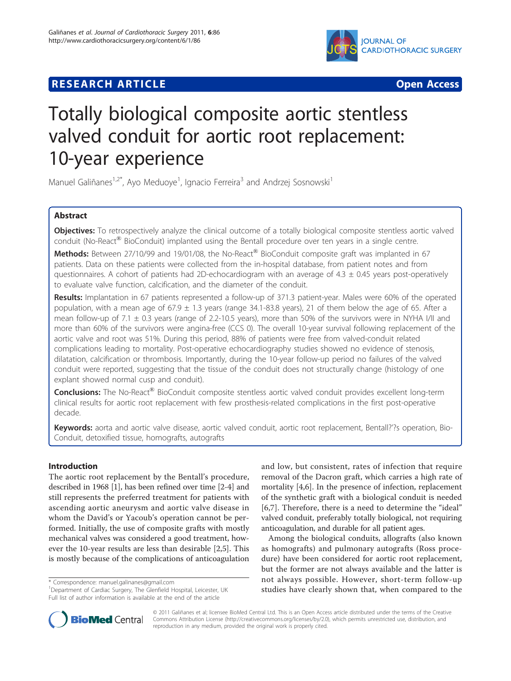

# **RESEARCH ARTICLE Example 2018 12:30 The Contract of Contract ACCESS**



# Totally biological composite aortic stentless valved conduit for aortic root replacement: 10-year experience

Manuel Galiñanes<sup>1,2\*</sup>, Ayo Meduoye<sup>1</sup>, Ignacio Ferreira<sup>3</sup> and Andrzej Sosnowski<sup>1</sup>

# Abstract

Objectives: To retrospectively analyze the clinical outcome of a totally biological composite stentless aortic valved conduit (No-React<sup>®</sup> BioConduit) implanted using the Bentall procedure over ten years in a single centre.

Methods: Between 27/10/99 and 19/01/08, the No-React® BioConduit composite graft was implanted in 67 patients. Data on these patients were collected from the in-hospital database, from patient notes and from questionnaires. A cohort of patients had 2D-echocardiogram with an average of  $4.3 \pm 0.45$  years post-operatively to evaluate valve function, calcification, and the diameter of the conduit.

Results: Implantation in 67 patients represented a follow-up of 371.3 patient-year. Males were 60% of the operated population, with a mean age of  $67.9 \pm 1.3$  years (range 34.1-83.8 years), 21 of them below the age of 65. After a mean follow-up of 7.1  $\pm$  0.3 years (range of 2.2-10.5 years), more than 50% of the survivors were in NYHA I/II and more than 60% of the survivors were angina-free (CCS 0). The overall 10-year survival following replacement of the aortic valve and root was 51%. During this period, 88% of patients were free from valved-conduit related complications leading to mortality. Post-operative echocardiography studies showed no evidence of stenosis, dilatation, calcification or thrombosis. Importantly, during the 10-year follow-up period no failures of the valved conduit were reported, suggesting that the tissue of the conduit does not structurally change (histology of one explant showed normal cusp and conduit).

Conclusions: The No-React<sup>®</sup> BioConduit composite stentless aortic valved conduit provides excellent long-term clinical results for aortic root replacement with few prosthesis-related complications in the first post-operative decade.

Keywords: aorta and aortic valve disease, aortic valved conduit, aortic root replacement, Bentall?'?s operation, Bio-Conduit, detoxified tissue, homografts, autografts

# Introduction

The aortic root replacement by the Bentall's procedure, described in 1968 [[1](#page-7-0)], has been refined over time [\[2-4](#page-7-0)] and still represents the preferred treatment for patients with ascending aortic aneurysm and aortic valve disease in whom the David's or Yacoub's operation cannot be performed. Initially, the use of composite grafts with mostly mechanical valves was considered a good treatment, however the 10-year results are less than desirable [[2,5](#page-7-0)]. This is mostly because of the complications of anticoagulation

\* Correspondence: [manuel.galinanes@gmail.com](mailto:manuel.galinanes@gmail.com)

<sup>1</sup>Department of Cardiac Surgery, The Glenfield Hospital, Leicester, UK Full list of author information is available at the end of the article



Among the biological conduits, allografts (also known as homografts) and pulmonary autografts (Ross procedure) have been considered for aortic root replacement, but the former are not always available and the latter is not always possible. However, short-term follow-up studies have clearly shown that, when compared to the



© 2011 Galiñanes et al; licensee BioMed Central Ltd. This is an Open Access article distributed under the terms of the Creative Commons Attribution License [\(http://creativecommons.org/licenses/by/2.0](http://creativecommons.org/licenses/by/2.0)), which permits unrestricted use, distribution, and reproduction in any medium, provided the original work is properly cited.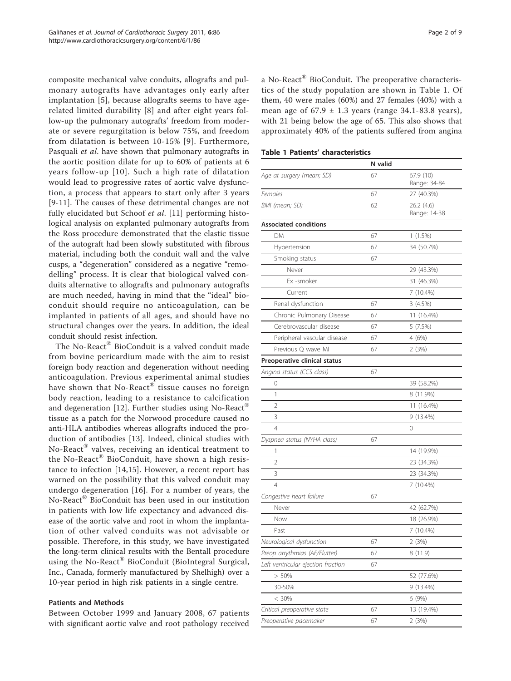composite mechanical valve conduits, allografts and pulmonary autografts have advantages only early after implantation [\[5](#page-7-0)], because allografts seems to have agerelated limited durability [\[8](#page-8-0)] and after eight years follow-up the pulmonary autografts' freedom from moderate or severe regurgitation is below 75%, and freedom from dilatation is between 10-15% [\[9\]](#page-8-0). Furthermore, Pasquali *et al.* have shown that pulmonary autografts in the aortic position dilate for up to 60% of patients at 6 years follow-up [\[10](#page-8-0)]. Such a high rate of dilatation would lead to progressive rates of aortic valve dysfunction, a process that appears to start only after 3 years [[9-11\]](#page-8-0). The causes of these detrimental changes are not fully elucidated but Schoof et al. [\[11](#page-8-0)] performing histological analysis on explanted pulmonary autografts from the Ross procedure demonstrated that the elastic tissue of the autograft had been slowly substituted with fibrous material, including both the conduit wall and the valve cusps, a "degeneration" considered as a negative "remodelling" process. It is clear that biological valved conduits alternative to allografts and pulmonary autografts are much needed, having in mind that the "ideal" bioconduit should require no anticoagulation, can be implanted in patients of all ages, and should have no structural changes over the years. In addition, the ideal conduit should resist infection.

The No-React® BioConduit is a valved conduit made from bovine pericardium made with the aim to resist foreign body reaction and degeneration without needing anticoagulation. Previous experimental animal studies have shown that No-React<sup>®</sup> tissue causes no foreign body reaction, leading to a resistance to calcification and degeneration [\[12](#page-8-0)]. Further studies using No-React® tissue as a patch for the Norwood procedure caused no anti-HLA antibodies whereas allografts induced the production of antibodies [\[13](#page-8-0)]. Indeed, clinical studies with No-React® valves, receiving an identical treatment to the No-React® BioConduit, have shown a high resistance to infection [\[14,15](#page-8-0)]. However, a recent report has warned on the possibility that this valved conduit may undergo degeneration [[16\]](#page-8-0). For a number of years, the No-React® BioConduit has been used in our institution in patients with low life expectancy and advanced disease of the aortic valve and root in whom the implantation of other valved conduits was not advisable or possible. Therefore, in this study, we have investigated the long-term clinical results with the Bentall procedure using the No-React® BioConduit (BioIntegral Surgical, Inc., Canada, formerly manufactured by Shelhigh) over a 10-year period in high risk patients in a single centre.

# Patients and Methods

Between October 1999 and January 2008, 67 patients with significant aortic valve and root pathology received a No-React® BioConduit. The preoperative characteristics of the study population are shown in Table 1. Of them, 40 were males (60%) and 27 females (40%) with a mean age of  $67.9 \pm 1.3$  years (range 34.1-83.8 years), with 21 being below the age of 65. This also shows that approximately 40% of the patients suffered from angina

#### Table 1 Patients' characteristics

|                                    | N valid |                            |  |
|------------------------------------|---------|----------------------------|--|
| Age at surgery (mean; SD)          | 67      | 67.9 (10)<br>Range: 34-84  |  |
| Females                            | 67      | 27 (40.3%)                 |  |
| BMI (mean; SD)                     | 62      | 26.2 (4.6)<br>Range: 14-38 |  |
| <b>Associated conditions</b>       |         |                            |  |
| <b>DM</b>                          | 67      | $1(1.5\%)$                 |  |
| Hypertension                       | 67      | 34 (50.7%)                 |  |
| Smoking status                     | 67      |                            |  |
| Never                              |         | 29 (43.3%)                 |  |
| Ex -smoker                         |         | 31 (46.3%)                 |  |
| Current                            |         | 7 (10.4%)                  |  |
| Renal dysfunction                  | 67      | 3(4.5%)                    |  |
| Chronic Pulmonary Disease          | 67      | 11 (16.4%)                 |  |
| Cerebrovascular disease            | 67      | 5 (7.5%)                   |  |
| Peripheral vascular disease        | 67      | 4(6%)                      |  |
| Previous Q wave MI                 | 67      | 2(3%)                      |  |
| Preoperative clinical status       |         |                            |  |
| Angina status (CCS class)          | 67      |                            |  |
| 0                                  |         | 39 (58.2%)                 |  |
| 1                                  |         | 8 (11.9%)                  |  |
| $\overline{2}$                     |         | 11 (16.4%)                 |  |
| 3                                  |         | 9 (13.4%)                  |  |
| $\overline{4}$                     |         | 0                          |  |
| Dyspnea status (NYHA class)        | 67      |                            |  |
| 1                                  |         | 14 (19.9%)                 |  |
| $\overline{2}$                     |         | 23 (34.3%)                 |  |
| 3                                  |         | 23 (34.3%)                 |  |
| 4                                  |         | 7 (10.4%)                  |  |
| Congestive heart failure           | 67      |                            |  |
| Never                              |         | 42 (62.7%)                 |  |
| Now                                |         | 18 (26.9%)                 |  |
| Past                               |         | 7 (10.4%)                  |  |
| Neurological dysfunction           | 67      | 2(3%)                      |  |
| Preop arrythmias (AF/Flutter)      | 67      | 8 (11.9)                   |  |
| Left ventricular ejection fraction | 67      |                            |  |
| > 50%                              |         | 52 (77.6%)                 |  |
| 30-50%                             |         | 9 (13.4%)                  |  |
| < 30%                              |         | 6(9%)                      |  |
| Critical preoperative state        | 67      | 13 (19.4%)                 |  |
| Preoperative pacemaker             | 67      | 2(3%)                      |  |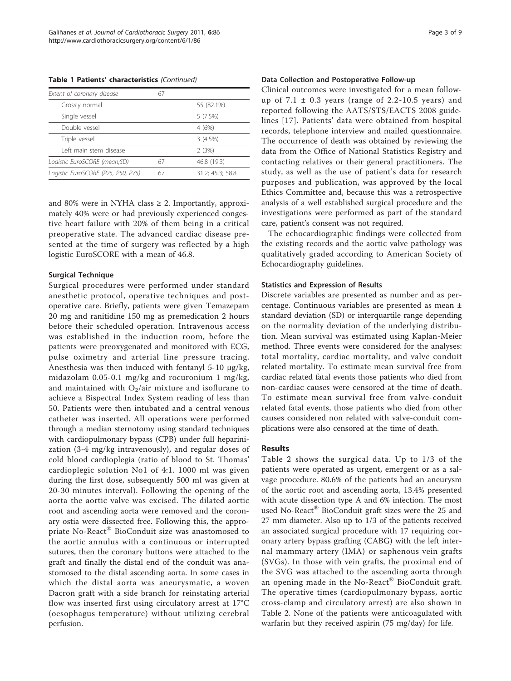Table 1 Patients' characteristics (Continued)

| Extent of coronary disease         | 67 |                  |
|------------------------------------|----|------------------|
| Grossly normal                     |    | 55 (82.1%)       |
| Single vessel                      |    | 5(7.5%)          |
| Double vessel                      |    | 4(6%)            |
| Triple vessel                      |    | 3(4.5%)          |
| Left main stem disease             |    | 2(3%)            |
| Logistic EuroSCORE (mean;SD)       | 67 | 46.8 (19.3)      |
| Logistic EuroSCORE (P25, P50, P75) | 67 | 31.2; 45.3; 58.8 |

and 80% were in NYHA class  $\geq$  2. Importantly, approximately 40% were or had previously experienced congestive heart failure with 20% of them being in a critical preoperative state. The advanced cardiac disease presented at the time of surgery was reflected by a high logistic EuroSCORE with a mean of 46.8.

#### Surgical Technique

Surgical procedures were performed under standard anesthetic protocol, operative techniques and postoperative care. Briefly, patients were given Temazepam 20 mg and ranitidine 150 mg as premedication 2 hours before their scheduled operation. Intravenous access was established in the induction room, before the patients were preoxygenated and monitored with ECG, pulse oximetry and arterial line pressure tracing. Anesthesia was then induced with fentanyl 5-10 μg/kg, midazolam 0.05-0.1 mg/kg and rocuronium 1 mg/kg, and maintained with  $O_2$ /air mixture and isoflurane to achieve a Bispectral Index System reading of less than 50. Patients were then intubated and a central venous catheter was inserted. All operations were performed through a median sternotomy using standard techniques with cardiopulmonary bypass (CPB) under full heparinization (3-4 mg/kg intravenously), and regular doses of cold blood cardioplegia (ratio of blood to St. Thomas' cardioplegic solution No1 of 4:1. 1000 ml was given during the first dose, subsequently 500 ml was given at 20-30 minutes interval). Following the opening of the aorta the aortic valve was excised. The dilated aortic root and ascending aorta were removed and the coronary ostia were dissected free. Following this, the appropriate No-React® BioConduit size was anastomosed to the aortic annulus with a continuous or interrupted sutures, then the coronary buttons were attached to the graft and finally the distal end of the conduit was anastomosed to the distal ascending aorta. In some cases in which the distal aorta was aneurysmatic, a woven Dacron graft with a side branch for reinstating arterial flow was inserted first using circulatory arrest at 17°C (oesophagus temperature) without utilizing cerebral perfusion.

#### Data Collection and Postoperative Follow-up

Clinical outcomes were investigated for a mean followup of  $7.1 \pm 0.3$  years (range of 2.2-10.5 years) and reported following the AATS/STS/EACTS 2008 guidelines [[17](#page-8-0)]. Patients' data were obtained from hospital records, telephone interview and mailed questionnaire. The occurrence of death was obtained by reviewing the data from the Office of National Statistics Registry and contacting relatives or their general practitioners. The study, as well as the use of patient's data for research purposes and publication, was approved by the local Ethics Committee and, because this was a retrospective analysis of a well established surgical procedure and the investigations were performed as part of the standard care, patient's consent was not required.

The echocardiographic findings were collected from the existing records and the aortic valve pathology was qualitatively graded according to American Society of Echocardiography guidelines.

#### Statistics and Expression of Results

Discrete variables are presented as number and as percentage. Continuous variables are presented as mean ± standard deviation (SD) or interquartile range depending on the normality deviation of the underlying distribution. Mean survival was estimated using Kaplan-Meier method. Three events were considered for the analyses: total mortality, cardiac mortality, and valve conduit related mortality. To estimate mean survival free from cardiac related fatal events those patients who died from non-cardiac causes were censored at the time of death. To estimate mean survival free from valve-conduit related fatal events, those patients who died from other causes considered non related with valve-conduit complications were also censored at the time of death.

#### Results

Table [2](#page-3-0) shows the surgical data. Up to 1/3 of the patients were operated as urgent, emergent or as a salvage procedure. 80.6% of the patients had an aneurysm of the aortic root and ascending aorta, 13.4% presented with acute dissection type A and 6% infection. The most used No-React® BioConduit graft sizes were the 25 and 27 mm diameter. Also up to 1/3 of the patients received an associated surgical procedure with 17 requiring coronary artery bypass grafting (CABG) with the left internal mammary artery (IMA) or saphenous vein grafts (SVGs). In those with vein grafts, the proximal end of the SVG was attached to the ascending aorta through an opening made in the No-React® BioConduit graft. The operative times (cardiopulmonary bypass, aortic cross-clamp and circulatory arrest) are also shown in Table [2.](#page-3-0) None of the patients were anticoagulated with warfarin but they received aspirin (75 mg/day) for life.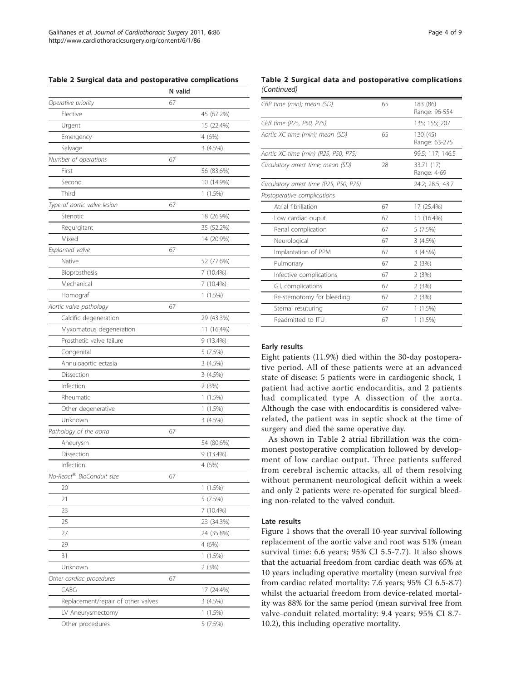|                                    | N valid |            |
|------------------------------------|---------|------------|
| Operative priority                 | 67      |            |
| Elective                           |         | 45 (67.2%) |
| Urgent                             |         | 15 (22.4%) |
| Emergency                          |         | 4 (6%)     |
| Salvage                            |         | 3(4.5%)    |
| Number of operations               | 67      |            |
| First                              |         | 56 (83.6%) |
| Second                             |         | 10 (14.9%) |
| Third                              |         | $1(1.5\%)$ |
| Type of aortic valve lesion        | 67      |            |
| Stenotic                           |         | 18 (26.9%) |
| Regurgitant                        |         | 35 (52.2%) |
| Mixed                              |         | 14 (20.9%) |
| Explanted valve                    | 67      |            |
| Native                             |         | 52 (77.6%) |
| Bioprosthesis                      |         | 7 (10.4%)  |
| Mechanical                         |         | 7 (10.4%)  |
| Homograf                           |         | $1(1.5\%)$ |
| Aortic valve pathology             | 67      |            |
| Calcific degeneration              |         | 29 (43.3%) |
| Myxomatous degeneration            |         | 11 (16.4%) |
| Prosthetic valve failure           |         | 9 (13.4%)  |
| Congenital                         |         | 5 (7.5%)   |
| Annuloaortic ectasia               |         | 3(4.5%)    |
| Dissection                         |         | 3 (4.5%)   |
| Infection                          |         | 2(3%)      |
| Rheumatic                          |         | $1(1.5\%)$ |
| Other degenerative                 |         | $1(1.5\%)$ |
| Unknown                            |         | 3(4.5%)    |
| Pathology of the aorta             | 67      |            |
| Aneurysm                           |         | 54 (80.6%) |
| Dissection                         |         | 9 (13.4%)  |
| Infection                          |         | 4(6%)      |
| No-React® BioConduit size          | 67      |            |
| 20                                 |         | $1(1.5\%)$ |
| 21                                 |         | 5 (7.5%)   |
| 23                                 |         | 7 (10.4%)  |
| 25                                 |         | 23 (34.3%) |
| 27                                 |         | 24 (35.8%) |
| 29                                 |         | 4 (6%)     |
| 31                                 |         | $1(1.5\%)$ |
| Unknown                            |         | 2 (3%)     |
| Other cardiac procedures           | 67      |            |
| CABG                               |         | 17 (24.4%) |
| Replacement/repair of other valves |         | 3(4.5%)    |
| LV Aneurysmectomy                  |         | $1(1.5\%)$ |
| Other procedures                   |         | 5 (7.5%)   |

<span id="page-3-0"></span>Table 2 Surgical data and postoperative complications

# Table 2 Surgical data and postoperative complications (Continued)

| CBP time (min); mean (SD)               | 65 | 183 (86)                  |
|-----------------------------------------|----|---------------------------|
|                                         |    | Range: 96-554             |
| CPB time (P25, P50, P75)                |    | 135; 155; 207             |
| Aortic XC time (min); mean (SD)         | 65 | 130 (45)<br>Range: 63-275 |
| Aortic XC time (min) (P25, P50, P75)    |    | 99.5; 117; 146.5          |
| Circulatory arrest time; mean (SD)      | 28 | 33.71 (17)<br>Range: 4-69 |
| Circulatory arrest time (P25, P50, P75) |    | 24.2; 28.5; 43.7          |
| Postoperative complications             |    |                           |
| Atrial fibrillation                     | 67 | 17 (25.4%)                |
| Low cardiac ouput                       | 67 | 11 (16.4%)                |
| Renal complication                      | 67 | 5(7.5%)                   |
| Neurological                            | 67 | 3(4.5%)                   |
| Implantation of PPM                     | 67 | 3(4.5%)                   |
| Pulmonary                               | 67 | 2(3%)                     |
| Infective complications                 | 67 | 2(3%)                     |
| G.I. complications                      | 67 | 2(3%)                     |
| Re-sternotomy for bleeding              | 67 | 2(3%)                     |
| Sternal resuturing                      | 67 | $1(1.5\%)$                |
| Readmitted to ITU                       | 67 | $1(1.5\%)$                |

### Early results

Eight patients (11.9%) died within the 30-day postoperative period. All of these patients were at an advanced state of disease: 5 patients were in cardiogenic shock, 1 patient had active aortic endocarditis, and 2 patients had complicated type A dissection of the aorta. Although the case with endocarditis is considered valverelated, the patient was in septic shock at the time of surgery and died the same operative day.

As shown in Table 2 atrial fibrillation was the commonest postoperative complication followed by development of low cardiac output. Three patients suffered from cerebral ischemic attacks, all of them resolving without permanent neurological deficit within a week and only 2 patients were re-operated for surgical bleeding non-related to the valved conduit.

#### Late results

Figure [1](#page-4-0) shows that the overall 10-year survival following replacement of the aortic valve and root was 51% (mean survival time: 6.6 years; 95% CI 5.5-7.7). It also shows that the actuarial freedom from cardiac death was 65% at 10 years including operative mortality (mean survival free from cardiac related mortality: 7.6 years; 95% CI 6.5-8.7) whilst the actuarial freedom from device-related mortality was 88% for the same period (mean survival free from valve-conduit related mortality: 9.4 years; 95% CI 8.7- 10.2), this including operative mortality.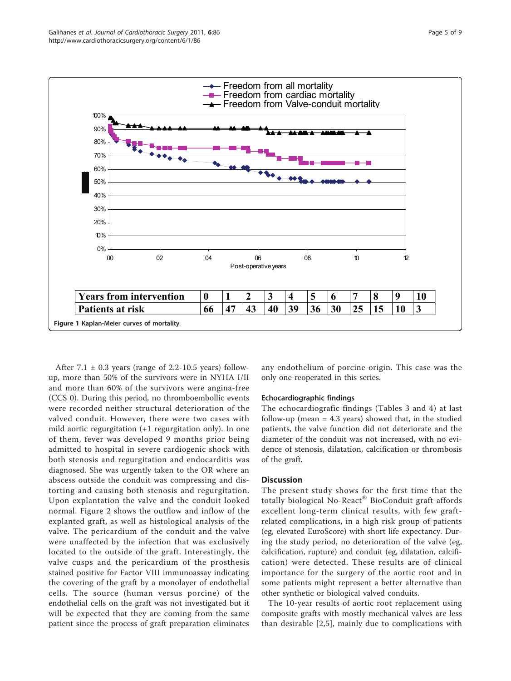<span id="page-4-0"></span>

After 7.1  $\pm$  0.3 years (range of 2.2-10.5 years) followup, more than 50% of the survivors were in NYHA I/II and more than 60% of the survivors were angina-free (CCS 0). During this period, no thromboembollic events were recorded neither structural deterioration of the valved conduit. However, there were two cases with mild aortic regurgitation (+1 regurgitation only). In one of them, fever was developed 9 months prior being admitted to hospital in severe cardiogenic shock with both stenosis and regurgitation and endocarditis was diagnosed. She was urgently taken to the OR where an abscess outside the conduit was compressing and distorting and causing both stenosis and regurgitation. Upon explantation the valve and the conduit looked normal. Figure [2](#page-5-0) shows the outflow and inflow of the explanted graft, as well as histological analysis of the valve. The pericardium of the conduit and the valve were unaffected by the infection that was exclusively located to the outside of the graft. Interestingly, the valve cusps and the pericardium of the prosthesis stained positive for Factor VIII immunoassay indicating the covering of the graft by a monolayer of endothelial cells. The source (human versus porcine) of the endothelial cells on the graft was not investigated but it will be expected that they are coming from the same patient since the process of graft preparation eliminates

any endothelium of porcine origin. This case was the only one reoperated in this series.

# Echocardiographic findings

The echocardiografic findings (Tables [3](#page-6-0) and [4\)](#page-6-0) at last follow-up (mean  $= 4.3$  years) showed that, in the studied patients, the valve function did not deteriorate and the diameter of the conduit was not increased, with no evidence of stenosis, dilatation, calcification or thrombosis of the graft.

# **Discussion**

The present study shows for the first time that the totally biological No-React® BioConduit graft affords excellent long-term clinical results, with few graftrelated complications, in a high risk group of patients (eg, elevated EuroScore) with short life expectancy. During the study period, no deterioration of the valve (eg, calcification, rupture) and conduit (eg, dilatation, calcification) were detected. These results are of clinical importance for the surgery of the aortic root and in some patients might represent a better alternative than other synthetic or biological valved conduits.

The 10-year results of aortic root replacement using composite grafts with mostly mechanical valves are less than desirable [[2](#page-7-0),[5\]](#page-7-0), mainly due to complications with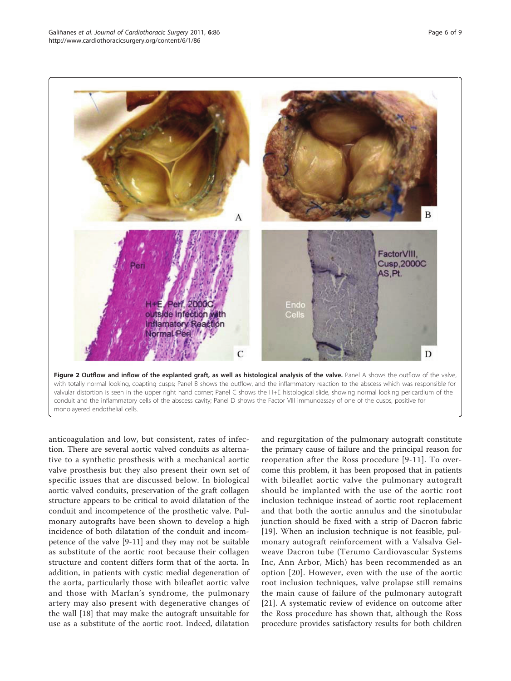<span id="page-5-0"></span>

anticoagulation and low, but consistent, rates of infection. There are several aortic valved conduits as alternative to a synthetic prosthesis with a mechanical aortic valve prosthesis but they also present their own set of specific issues that are discussed below. In biological aortic valved conduits, preservation of the graft collagen structure appears to be critical to avoid dilatation of the conduit and incompetence of the prosthetic valve. Pulmonary autografts have been shown to develop a high incidence of both dilatation of the conduit and incompetence of the valve [[9-11\]](#page-8-0) and they may not be suitable as substitute of the aortic root because their collagen structure and content differs form that of the aorta. In addition, in patients with cystic medial degeneration of the aorta, particularly those with bileaflet aortic valve and those with Marfan's syndrome, the pulmonary artery may also present with degenerative changes of the wall [[18\]](#page-8-0) that may make the autograft unsuitable for use as a substitute of the aortic root. Indeed, dilatation

and regurgitation of the pulmonary autograft constitute the primary cause of failure and the principal reason for reoperation after the Ross procedure [[9](#page-8-0)-[11](#page-8-0)]. To overcome this problem, it has been proposed that in patients with bileaflet aortic valve the pulmonary autograft should be implanted with the use of the aortic root inclusion technique instead of aortic root replacement and that both the aortic annulus and the sinotubular junction should be fixed with a strip of Dacron fabric [[19](#page-8-0)]. When an inclusion technique is not feasible, pulmonary autograft reinforcement with a Valsalva Gelweave Dacron tube (Terumo Cardiovascular Systems Inc, Ann Arbor, Mich) has been recommended as an option [[20](#page-8-0)]. However, even with the use of the aortic root inclusion techniques, valve prolapse still remains the main cause of failure of the pulmonary autograft [[21](#page-8-0)]. A systematic review of evidence on outcome after the Ross procedure has shown that, although the Ross procedure provides satisfactory results for both children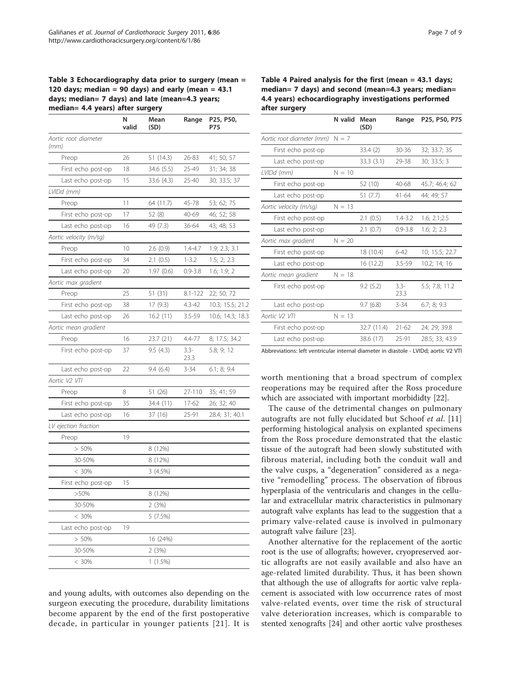<span id="page-6-0"></span>Table 3 Echocardiography data prior to surgery (mean = 120 days; median = 90 days) and early (mean =  $43.1$ days; median= 7 days) and late (mean=4.3 years; median= 4.4 years) after surgery

|                              | N<br>valid | Mean<br>(SD) | Range           | P25, P50,<br>P75 |
|------------------------------|------------|--------------|-----------------|------------------|
| Aortic root diameter<br>(mm) |            |              |                 |                  |
| Preop                        | 26         | 51 (14.3)    | 26-83           | 41; 50; 57       |
| First echo post-op           | 18         | 34.6 (5.5)   | 25-49           | 31; 34; 38       |
| Last echo post-op            | 15         | 33.6 (4.3)   | 25-40           | 30; 33.5; 37     |
| LVIDd (mm)                   |            |              |                 |                  |
| Preop                        | 11         | 64 (11.7)    | 45-78           | 53; 62; 75       |
| First echo post-op           | 17         | 52(8)        | 40-69           | 46; 52; 58       |
| Last echo post-op            | 16         | 49 (7.3)     | 36-64           | 43; 48; 53       |
| Aortic velocity (m/sq)       |            |              |                 |                  |
| Preop                        | 10         | 2.6(0.9)     | $1.4 - 4.7$     | 1.9; 2.3; 3.1    |
| First echo post-op           | 34         | 2.1(0.5)     | $1 - 3.2$       | 1.5; 2; 2.3      |
| Last echo post-op            | 20         | 1.97(0.6)    | $0.9 - 3.8$     | 1.6; 1.9; 2      |
| Aortic max gradient          |            |              |                 |                  |
| Preop                        | 25         | 51 (31)      | $8.1 - 122$     | 22; 50; 72       |
| First echo post-op           | 38         | 17(9.3)      | $4.3 - 42$      | 10.3; 15.5; 21.2 |
| Last echo post-op            | 26         | 16.2(11)     | $3.5 - 59$      | 10.6; 14.3; 18.3 |
| Aortic mean gradient         |            |              |                 |                  |
| Preop                        | 16         | 23.7 (21)    | 4.4-77          | 8; 17.5; 34.2    |
| First echo post-op           | 37         | 9.5(4.3)     | $3.3 -$<br>23.3 | 5.8; 9; 12       |
| Last echo post-op            | 22         | 9.4(6.4)     | $3 - 34$        | 6.1; 8; 9.4      |
| Aortic V2 VTI                |            |              |                 |                  |
| Preop                        | 8          | 51 (26)      | 27-110          | 35; 41; 59       |
| First echo post-op           | 35         | 34.4 (11)    | $17 - 62$       | 26; 32; 40       |
| Last echo post-op            | 16         | 37 (16)      | 25-91           | 28.4; 31; 40.1   |
| LV ejection fraction         |            |              |                 |                  |
| Preop                        | 19         |              |                 |                  |
| > 50%                        |            | 8 (12%)      |                 |                  |
| 30-50%                       |            | 8 (12%)      |                 |                  |
| < 30%                        |            | 3(4.5%)      |                 |                  |
| First echo post-op           | 15         |              |                 |                  |
| $>50\%$                      |            | 8 (12%)      |                 |                  |
| 30-50%                       |            | 2(3%)        |                 |                  |
| $< 30\%$                     |            | 5(7.5%)      |                 |                  |
| Last echo post-op            | 19         |              |                 |                  |
| > 50%                        |            | 16 (24%)     |                 |                  |
| 30-50%                       |            | 2(3%)        |                 |                  |
| < 30%                        |            | $1(1.5\%)$   |                 |                  |

and young adults, with outcomes also depending on the surgeon executing the procedure, durability limitations become apparent by the end of the first postoperative decade, in particular in younger patients [[21](#page-8-0)]. It is Table 4 Paired analysis for the first (mean = 43.1 days; median= 7 days) and second (mean=4.3 years; median= 4.4 years) echocardiography investigations performed after surgery

|                                       | N valid  | Mean<br>(SD) | Range           | P25, P50, P75  |
|---------------------------------------|----------|--------------|-----------------|----------------|
| Aortic root diameter (mm) $N = 7$     |          |              |                 |                |
| First echo post-op                    |          | 33.4(2)      | 30-36           | 32; 33.7; 35   |
| Last echo post-op                     |          | 33.3(3.1)    | 29-38           | 30; 33.5; 3    |
| LVIDd (mm)                            | $N = 10$ |              |                 |                |
| First echo post-op                    |          | 52 (10)      | $40 - 68$       | 45.7; 46.4; 62 |
| Last echo post-op                     |          | 51 (7.7)     | $41 - 64$       | 44; 49; 57     |
| Aortic velocity (m/sq)                | $N = 13$ |              |                 |                |
| First echo post-op                    |          | 2.1(0.5)     | $1.4 - 3.2$     | 1.6; 2.1; 2.5  |
| Last echo post-op                     |          | 2.1(0.7)     | $0.9 - 3.8$     | 1.6; 2; 2.3    |
| Aortic max gradient                   | $N = 20$ |              |                 |                |
| First echo post-op                    |          | 18 (10.4)    | $6-42$          | 10; 15.5; 22.7 |
| Last echo post-op                     |          | 16 (12.2)    | $3.5 - 59$      | 10.2; 14; 16   |
| Aortic mean gradient                  | $N = 18$ |              |                 |                |
| First echo post-op                    |          | 9.2(5.2)     | $3.3 -$<br>23.3 | 5.5; 7.8; 11.2 |
| Last echo post-op                     |          | 9.7(6.8)     | $3 - 34$        | 6.7; 8; 9.3    |
| Aortic V <sub>2</sub> V <sub>TI</sub> | $N = 13$ |              |                 |                |
| First echo post-op                    |          | 32.7 (11.4)  | $21 - 62$       | 24; 29; 39.8   |
| Last echo post-op                     |          | 38.6 (17)    | 25-91           | 28.5; 33; 43.9 |

Abbreviations: left ventricular internal diameter in diastole - LVIDd; aortic V2 VTI

worth mentioning that a broad spectrum of complex reoperations may be required after the Ross procedure which are associated with important morbididty [\[22](#page-8-0)].

The cause of the detrimental changes on pulmonary autografts are not fully elucidated but Schoof et al. [\[11](#page-8-0)] performing histological analysis on explanted specimens from the Ross procedure demonstrated that the elastic tissue of the autograft had been slowly substituted with fibrous material, including both the conduit wall and the valve cusps, a "degeneration" considered as a negative "remodelling" process. The observation of fibrous hyperplasia of the ventricularis and changes in the cellular and extracellular matrix characteristics in pulmonary autograft valve explants has lead to the suggestion that a primary valve-related cause is involved in pulmonary autograft valve failure [\[23\]](#page-8-0).

Another alternative for the replacement of the aortic root is the use of allografts; however, cryopreserved aortic allografts are not easily available and also have an age-related limited durability. Thus, it has been shown that although the use of allografts for aortic valve replacement is associated with low occurrence rates of most valve-related events, over time the risk of structural valve deterioration increases, which is comparable to stented xenografts [\[24](#page-8-0)] and other aortic valve prostheses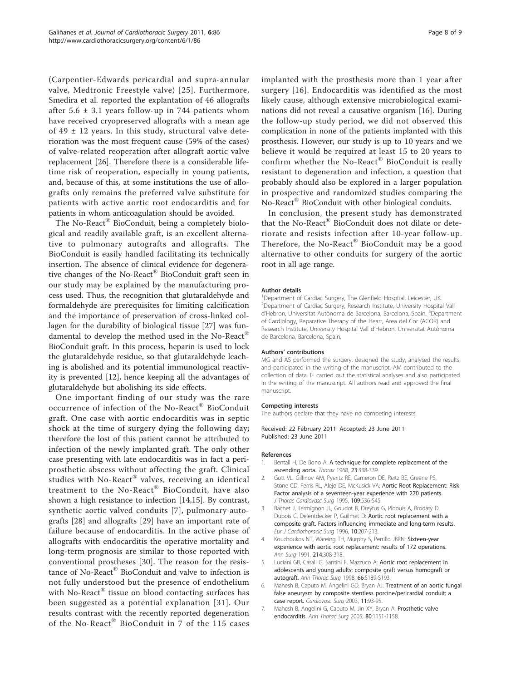<span id="page-7-0"></span>(Carpentier-Edwards pericardial and supra-annular valve, Medtronic Freestyle valve) [[25](#page-8-0)]. Furthermore, Smedira et al. reported the explantation of 46 allografts after  $5.6 \pm 3.1$  years follow-up in 744 patients whom have received cryopreserved allografts with a mean age of 49  $\pm$  12 years. In this study, structural valve deterioration was the most frequent cause (59% of the cases) of valve-related reoperation after allograft aortic valve replacement [[26\]](#page-8-0). Therefore there is a considerable lifetime risk of reoperation, especially in young patients, and, because of this, at some institutions the use of allografts only remains the preferred valve substitute for patients with active aortic root endocarditis and for patients in whom anticoagulation should be avoided.

The No-React<sup>®</sup> BioConduit, being a completely biological and readily available graft, is an excellent alternative to pulmonary autografts and allografts. The BioConduit is easily handled facilitating its technically insertion. The absence of clinical evidence for degenerative changes of the No-React® BioConduit graft seen in our study may be explained by the manufacturing process used. Thus, the recognition that glutaraldehyde and formaldehyde are prerequisites for limiting calcification and the importance of preservation of cross-linked collagen for the durability of biological tissue [[27](#page-8-0)] was fundamental to develop the method used in the No-React<sup>®</sup> BioConduit graft. In this process, heparin is used to lock the glutaraldehyde residue, so that glutaraldehyde leaching is abolished and its potential immunological reactivity is prevented [\[12](#page-8-0)], hence keeping all the advantages of glutaraldehyde but abolishing its side effects.

One important finding of our study was the rare occurrence of infection of the No-React® BioConduit graft. One case with aortic endocarditis was in septic shock at the time of surgery dying the following day; therefore the lost of this patient cannot be attributed to infection of the newly implanted graft. The only other case presenting with late endocarditis was in fact a periprosthetic abscess without affecting the graft. Clinical studies with No-React® valves, receiving an identical treatment to the No-React® BioConduit, have also shown a high resistance to infection [[14,15](#page-8-0)]. By contrast, synthetic aortic valved conduits [7], pulmonary autografts [\[28](#page-8-0)] and allografts [\[29](#page-8-0)] have an important rate of failure because of endocarditis. In the active phase of allografts with endocarditis the operative mortality and long-term prognosis are similar to those reported with conventional prostheses [\[30](#page-8-0)]. The reason for the resistance of No-React® BioConduit and valve to infection is not fully understood but the presence of endothelium with No-React<sup>®</sup> tissue on blood contacting surfaces has been suggested as a potential explanation [[31](#page-8-0)]. Our results contrast with the recently reported degeneration of the No-React® BioConduit in 7 of the 115 cases implanted with the prosthesis more than 1 year after surgery [[16\]](#page-8-0). Endocarditis was identified as the most likely cause, although extensive microbiological examinations did not reveal a causative organism [\[16](#page-8-0)]. During the follow-up study period, we did not observed this complication in none of the patients implanted with this prosthesis. However, our study is up to 10 years and we believe it would be required at least 15 to 20 years to confirm whether the No-React® BioConduit is really resistant to degeneration and infection, a question that probably should also be explored in a larger population in prospective and randomized studies comparing the No-React® BioConduit with other biological conduits.

In conclusion, the present study has demonstrated that the No-React® BioConduit does not dilate or deteriorate and resists infection after 10-year follow-up. Therefore, the No-React<sup>®</sup> BioConduit may be a good alternative to other conduits for surgery of the aortic root in all age range.

#### Author details

<sup>1</sup>Department of Cardiac Surgery, The Glenfield Hospital, Leicester, UK <sup>2</sup>Department of Cardiac Surgery, Research Institute, University Hospital Vall d'Hebron, Universitat Autònoma de Barcelona, Barcelona, Spain. <sup>3</sup>Department of Cardiology, Reparative Therapy of the Heart, Area del Cor (ACOR) and Research Institute, University Hospital Vall d'Hebron, Universitat Autònoma de Barcelona, Barcelona, Spain.

#### Authors' contributions

MG and AS performed the surgery, designed the study, analysed the results and participated in the writing of the manuscript. AM contributed to the collection of data. IF carried out the statistical analyses and also participated in the writing of the manuscript. All authors read and approved the final manuscript.

#### Competing interests

The authors declare that they have no competing interests.

Received: 22 February 2011 Accepted: 23 June 2011 Published: 23 June 2011

#### References

- Bentall H, De Bono A: [A technique for complete replacement of the](http://www.ncbi.nlm.nih.gov/pubmed/5664694?dopt=Abstract) [ascending aorta.](http://www.ncbi.nlm.nih.gov/pubmed/5664694?dopt=Abstract) Thorax 1968, 23:338-339.
- 2. Gott VL, Gillinov AM, Pyeritz RE, Cameron DE, Reitz BE, Greene PS, Stone CD, Ferris RL, Alejo DE, McKusick VA: [Aortic Root Replacement: Risk](http://www.ncbi.nlm.nih.gov/pubmed/7877316?dopt=Abstract) [Factor analysis of a seventeen-year experience with 270 patients.](http://www.ncbi.nlm.nih.gov/pubmed/7877316?dopt=Abstract) J Thorac Cardiovasc Surg 1995, 109:536-545.
- 3. Bachet J, Termignon JL, Goudot B, Dreyfus G, Piqouis A, Brodaty D, Dubois C, Delentdecker P, Guilmet D: Aortic root replacement with a composite graft. Factors influencing immediate and long-term results. Eur J Cardiothoracic Surg 1996, 10:207-213.
- Kouchoukos NT, Wareing TH, Murphy S, Perrillo JBRN: [Sixteen-year](http://www.ncbi.nlm.nih.gov/pubmed/1834031?dopt=Abstract) [experience with aortic root replacement: results of 172 operations.](http://www.ncbi.nlm.nih.gov/pubmed/1834031?dopt=Abstract) Ann Surg 1991, 214:308-318.
- 5. Luciani GB, Casali G, Santini F, Mazzuco A: [Aortic root replacement in](http://www.ncbi.nlm.nih.gov/pubmed/9930446?dopt=Abstract) [adolescents and young adults: composite graft versus homograft or](http://www.ncbi.nlm.nih.gov/pubmed/9930446?dopt=Abstract) [autograft.](http://www.ncbi.nlm.nih.gov/pubmed/9930446?dopt=Abstract) Ann Thorac Surg 1998, 66:S189-S193.
- Mahesh B, Caputo M, Angelini GD, Bryan AJ: [Treatment of an aortic fungal](http://www.ncbi.nlm.nih.gov/pubmed/12543581?dopt=Abstract) [false aneurysm by composite stentless porcine/pericardial conduit: a](http://www.ncbi.nlm.nih.gov/pubmed/12543581?dopt=Abstract) [case report.](http://www.ncbi.nlm.nih.gov/pubmed/12543581?dopt=Abstract) Cardiovasc Surg 2003, 11:93-95.
- 7. Mahesh B, Angelini G, Caputo M, Jin XY, Bryan A: [Prosthetic valve](http://www.ncbi.nlm.nih.gov/pubmed/16122521?dopt=Abstract) [endocarditis.](http://www.ncbi.nlm.nih.gov/pubmed/16122521?dopt=Abstract) Ann Thorac Surg 2005, 80:1151-1158.